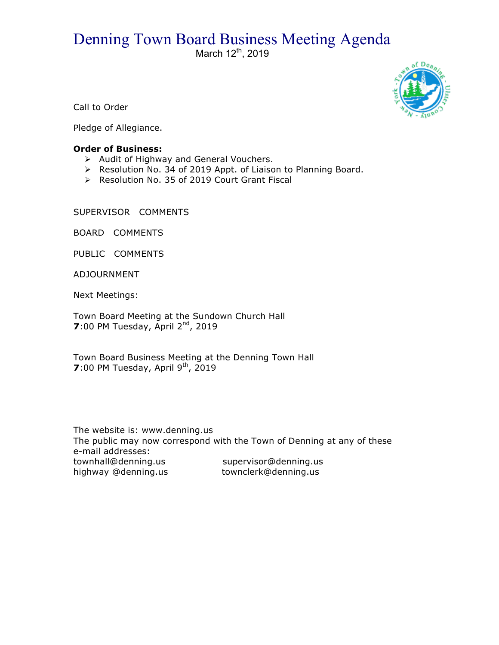## Denning Town Board Business Meeting Agenda

March  $12^{th}$ , 2019



Call to Order

Pledge of Allegiance.

## **Order of Business:**

- $\triangleright$  Audit of Highway and General Vouchers.
- > Resolution No. 34 of 2019 Appt. of Liaison to Planning Board.
- ▶ Resolution No. 35 of 2019 Court Grant Fiscal

SUPERVISOR COMMENTS

BOARD COMMENTS

PUBLIC COMMENTS

ADJOURNMENT

Next Meetings:

Town Board Meeting at the Sundown Church Hall **7**:00 PM Tuesday, April 2<sup>nd</sup>, 2019

Town Board Business Meeting at the Denning Town Hall **7**:00 PM Tuesday, April 9<sup>th</sup>, 2019

The website is: www.denning.us The public may now correspond with the Town of Denning at any of these e-mail addresses: townhall@denning.us supervisor@denning.us highway @denning.us townclerk@denning.us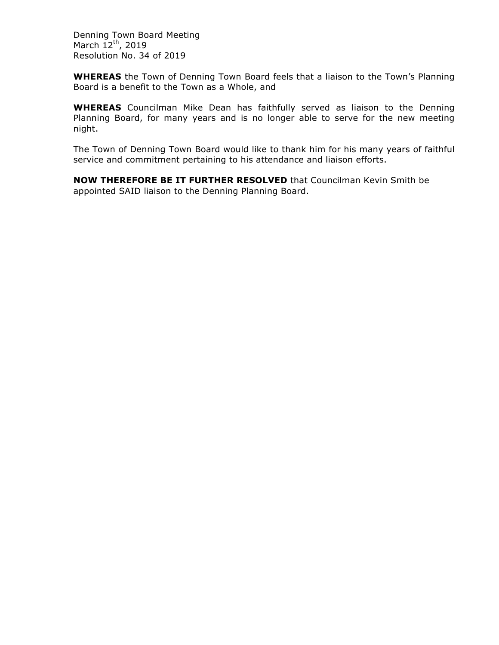Denning Town Board Meeting March  $12^{th}$ , 2019 Resolution No. 34 of 2019

**WHEREAS** the Town of Denning Town Board feels that a liaison to the Town's Planning Board is a benefit to the Town as a Whole, and

**WHEREAS** Councilman Mike Dean has faithfully served as liaison to the Denning Planning Board, for many years and is no longer able to serve for the new meeting night.

The Town of Denning Town Board would like to thank him for his many years of faithful service and commitment pertaining to his attendance and liaison efforts.

**NOW THEREFORE BE IT FURTHER RESOLVED** that Councilman Kevin Smith be appointed SAID liaison to the Denning Planning Board.